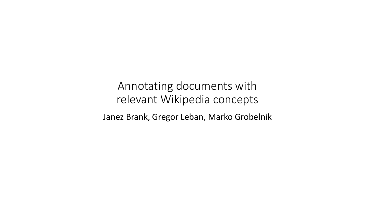Annotating documents with relevant Wikipedia concepts Janez Brank, Gregor Leban, Marko Grobelnik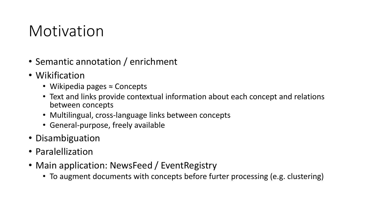### Motivation

- Semantic annotation / enrichment
- Wikification
	- Wikipedia pages ≈ Concepts
	- Text and links provide contextual information about each concept and relations between concepts
	- Multilingual, cross-language links between concepts
	- General-purpose, freely available
- Disambiguation
- Paralellization
- Main application: NewsFeed / EventRegistry
	- To augment documents with concepts before furter processing (e.g. clustering)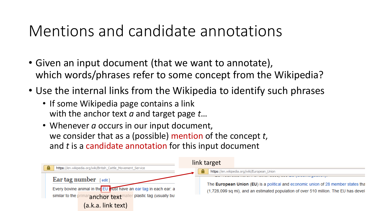### Mentions and candidate annotations

- Given an input document (that we want to annotate), which words/phrases refer to some concept from the Wikipedia?
- Use the internal links from the Wikipedia to identify such phrases
	- If some Wikipedia page contains a link with the anchor text *a* and target page *t*…
	- Whenever *a* occurs in our input document, we consider that as a (possible) mention of the concept *t*, and *t* is a candidate annotation for this input document

| А                                                                 | link target                                                                          |  |  |  |
|-------------------------------------------------------------------|--------------------------------------------------------------------------------------|--|--|--|
| https://en.wikipedia.org/wiki/British_Cattle_Movement_Service     | https://en.wikipedia.org/wiki/European_Union<br>Δ                                    |  |  |  |
| Ear tag number<br>$[$ edit $]$                                    | The European Union (EU) is a political and economic union of 28 member states tha    |  |  |  |
| Every bovine animal in the EU must have an ear tag in each ear: a | (1,728,099 sq mi), and an estimated population of over 510 million. The EU has devel |  |  |  |
| similar to the p<br>plastic tag (usually bu<br>Tanchor text       |                                                                                      |  |  |  |
| (a.k.a. link text)                                                |                                                                                      |  |  |  |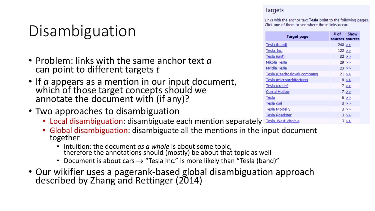# Disambiguation

- Problem: links with the same anchor text *a* can point to different targets *t*
- If *a* appears as a mention in our input document, which of those target concepts should we annotate the document with (if any)?
- Two approaches to disambiguation
	- Local disambiguation: disambiguate each mention separately
	- Global disambiguation: disambiguate all the mentions in the input document together
		- Intuition: the document *as a whole* is about some topic, therefore the annotations should (mostly) be about that topic as well
		- Document is about cars  $\rightarrow$  "Tesla Inc." is more likely than "Tesla (band)"
- Our wikifier uses a pagerank-based global disambiguation approach described by Zhang and Rettinger (2014)

#### **Targets**

Links with the anchor text Tesla point to the following pages. Click one of them to see where those links occur.

| <b>Target page</b>           | # of    | <b>Show</b>     |
|------------------------------|---------|-----------------|
|                              |         | sources sources |
| Tesla (band)                 | 240 >   |                 |
| Tesla, Inc.                  | 122 > > |                 |
| Tesla (unit)                 |         | $32 \geq$       |
| Nikola Tesla                 |         | 29 >            |
| Nvidia Tesla                 |         | $23 \geq$       |
| Tesla (Czechoslovak company) |         | $21 \geq$       |
| Tesla (microarchitecture)    |         | $18 \geq$       |
| Tesla (crater)               |         | 7 >             |
| <b>Corral Hollow</b>         |         | 7 >             |
| Tesla                        |         | $6 \geq$        |
| Tesla coil                   |         | $3 \geq 5$      |
| Tesla Model S                |         | 3 >             |
| <b>Tesla Roadster</b>        |         | $3 \geq 5$      |
| Tesla, West Virginia         |         | $3 \rightarrow$ |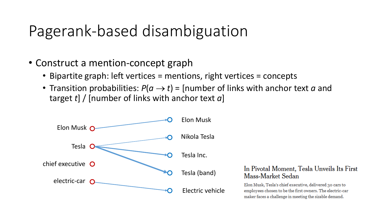- Construct a mention-concept graph
	- Bipartite graph: left vertices = mentions, right vertices = concepts
	- Transition probabilities:  $P(a \rightarrow t)$  = [number of links with anchor text *a* and target *t*] / [number of links with anchor text *a*]



#### In Pivotal Moment, Tesla Unveils Its First Mass-Market Sedan

Elon Musk, Tesla's chief executive, delivered 30 cars to employees chosen to be the first owners. The electric-car maker faces a challenge in meeting the sizable demand.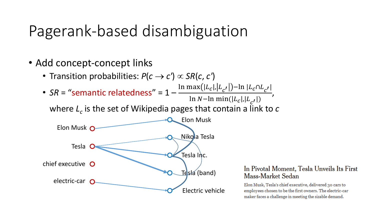- Add concept-concept links
	- Transition probabilities:  $P(c \rightarrow c') \propto SR(c, c')$
	- SR = "semantic relatedness" = 1 - $\ln \max(|L_c|, |L_{c'}|) - \ln |L_c \cap L_{c'}|$ ln N-ln min( $|L_c|, |L_{c'}|$ ) ,

where *L<sup>c</sup>* is the set of Wikipedia pages that contain a link to *c*



#### In Pivotal Moment, Tesla Unveils Its First Mass-Market Sedan

Elon Musk, Tesla's chief executive, delivered 30 cars to employees chosen to be the first owners. The electric-car maker faces a challenge in meeting the sizable demand.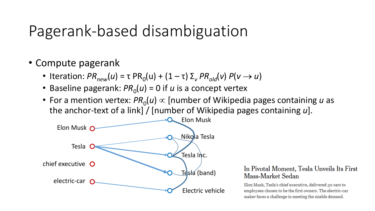- Compute pagerank
	- Iteration:  $PR_{new}(u) = \tau PR_0(u) + (1 \tau) \Sigma_v PR_{old}(v) P(v \rightarrow u)$
	- Baseline pagerank:  $PR_0(u) = 0$  if *u* is a concept vertex
	- For a mention vertex:  $PR_0(u) \propto$  [number of Wikipedia pages containing *u* as the anchor-text of a link] / [number of Wikipedia pages containing *u*].



#### In Pivotal Moment, Tesla Unveils Its First Mass-Market Sedan

Elon Musk, Tesla's chief executive, delivered 30 cars to employees chosen to be the first owners. The electric-car maker faces a challenge in meeting the sizable demand.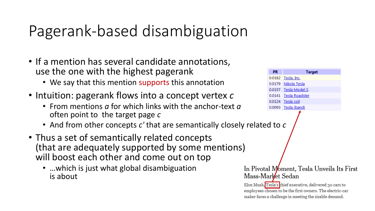- If a mention has several candidate annotations, use the one with the highest pagerank
	- We say that this mention supports this annotation
- Intuition: pagerank flows into a concept vertex *c*
	- From mentions *a* for which links with the anchor-text *a* often point to the target page *c*
	- And from other concepts c' that are semantically closely re
- Thus a set of semantically related concepts (that are adequately supported by some mentions) will boost each other and come out on top
	- …which is just what global disambiguation is about

|                   | <b>PR</b> | <b>Target</b>                                            |
|-------------------|-----------|----------------------------------------------------------|
|                   | 0.0182    | Tesla, Inc.                                              |
|                   | 0.0179    | Nikola Tesla                                             |
|                   |           | 0.0157 Tesla Model S                                     |
|                   |           | 0.0141 Tesla Roadster                                    |
|                   |           | 0.0124 Tesla coil                                        |
|                   |           | 0.0093 Tesla (band)                                      |
|                   |           |                                                          |
| Mass-Market Sedan |           | In Pivotal Moment, Tesla Unveils Its First               |
|                   |           | Elon Musk, Tesla's chief executive, delivered 30 cars to |

Elo employees chosen to be the first owners. The electric-car maker faces a challenge in meeting the sizable demand.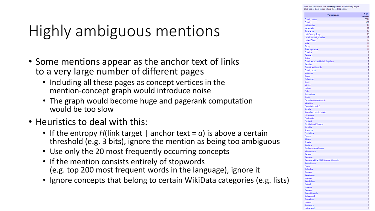s with the anchor text country point to the following pag

# Highly ambiguous mentions

- Some mentions appear as the anchor text of links to a very large number of different pages
	- Including all these pages as concept vertices in the mention-concept graph would introduce noise
	- The graph would become huge and pagerank computation would be too slow
- Heuristics to deal with this:
	- If the entropy  $H$ (link target | anchor text =  $a$ ) is above a certain threshold (e.g. 3 bits), ignore the mention as being too ambiguous
	- Use only the 20 most frequently occurring concepts
	- If the mention consists entirely of stopwords (e.g. top 200 most frequent words in the language), ignore it
	- Ignore concepts that belong to certain WikiData categories (e.g. lists)

| <b>Target page</b>                                  | # of<br>source:          |
|-----------------------------------------------------|--------------------------|
| <b>Country music</b><br>Country                     | 5091<br>487              |
| <b>Nation state</b>                                 | 91                       |
| Venezuela                                           | 27                       |
| Rural area                                          | $\overline{2}$           |
| <b>Hot Country Songs</b>                            | 2 <sup>5</sup>           |
| List of sovereign states                            | 17                       |
| <b>United States</b>                                | 1 <sup>2</sup>           |
| India                                               | $\overline{1}$           |
| <b>Turkey</b>                                       | 11                       |
| Sovereign state                                     | 11                       |
| Ecuador                                             | Ś                        |
| <b>Denmark</b>                                      | ś                        |
| <b>Bolivia</b>                                      | Ī                        |
| Countries of the United Kingdom                     | ī                        |
| Pakistan                                            |                          |
| <b>Dominican Republic</b>                           |                          |
| Country rock                                        | and and and act and      |
| <b>Indonesia</b>                                    |                          |
| Russia<br><b>Philippines</b>                        |                          |
| <b>Brazil</b>                                       | $\epsilon$               |
| Mexico                                              | $\epsilon$               |
| <b>Nation</b>                                       |                          |
| <b>Chile</b>                                        |                          |
| <b>South Africa</b>                                 |                          |
| Spain                                               |                          |
| <b>Canadian country music</b>                       |                          |
| <b>Mauritius</b>                                    |                          |
| Georgia (country)                                   |                          |
| Angola                                              |                          |
| <b>Australian country music</b>                     |                          |
| <u>Nicaragua</u> de contrar la contrar de la contra | l                        |
| Guatemala                                           | $\frac{2}{2}$            |
| England                                             |                          |
| <b>Trinidad and Tobago</b>                          | $\frac{1}{2}$            |
| <u>Slovakia</u><br>Argentina                        |                          |
| <b>Costa Rica</b>                                   | $\overline{\phantom{a}}$ |
| Greece                                              | ź                        |
| <u>Albania</u>                                      | ł                        |
| Croatia                                             |                          |
| <b>Belgium</b>                                      |                          |
| <b>English country house</b>                        |                          |
| Montenegro                                          |                          |
| Canada                                              |                          |
| Germany                                             |                          |
| Germany at the 2012 Summer Olympics                 |                          |
| South Korea                                         |                          |
| <b>France</b>                                       |                          |
| Colombia                                            |                          |
| Romania                                             |                          |
| Kazakhstan                                          |                          |
| Uruguay                                             |                          |
| <b>Bangladesh</b>                                   |                          |
| Poland<br>Lebanon                                   |                          |
|                                                     |                          |
| Tanzania<br><b>Czech Republic</b>                   |                          |
| Switzerland                                         |                          |
| Zimbabwe                                            |                          |
| Norway                                              | ś                        |
|                                                     |                          |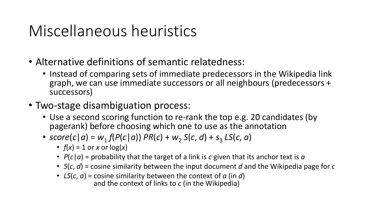### Miscellaneous heuristics

- Alternative definitions of semantic relatedness:
	- Instead of comparing sets of immediate predecessors in the Wikipedia link graph, we can use immediate successors or all neighbours (predecessors + successors)
- Two-stage disambiguation process:
	- Use a second scoring function to re-rank the top e.g. 20 candidates (by pagerank) before choosing which one to use as the annotation
	- $score(c|a) = w_1 f(P(c|a)) PR(c) + w_2 S(c, d) + s_3 LS(c, a)$ 
		- $f(x) = 1$  or *x* or  $log(x)$
		- *P*(*c*|*a*) = probability that the target of a link is *c* given that its anchor text is *a*
		- *S*(*c*, *d*) = cosine similarity between the input document *d* and the Wikipedia page for *c*
		- *LS*(*c*, *a*) = cosine similarity between the context of *a* (in *d*) and the context of links to *c* (in the Wikipedia)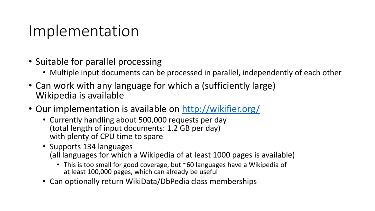#### Implementation

- Suitable for parallel processing
	- Multiple input documents can be processed in parallel, independently of each other
- Can work with any language for which a (sufficiently large) Wikipedia is available
- Our implementation is available on<http://wikifier.org/>
	- Currently handling about 500,000 requests per day (total length of input documents: 1.2 GB per day) with plenty of CPU time to spare
	- Supports 134 languages (all languages for which a Wikipedia of at least 1000 pages is available)
		- This is too small for good coverage, but ~60 languages have a Wikipedia of at least 100,000 pages, which can already be useful
	- Can optionally return WikiData/DbPedia class memberships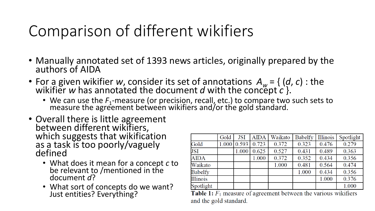# Comparison of different wikifiers

- Manually annotated set of 1393 news articles, originally prepared by the authors of AIDA
- For a given wikifier *w*, consider its set of annotations  $A_w = \{ (d, c) : \text{the } w \text{ is the } c \text{ is the } c \text{ is the } c \text{ is the } c \text{ is the } c \text{ is the } c \text{ is the } c \text{ is the } c \text{ is the } c \text{ is the } c \text{ is the } c \text{ is the } c \text{ is the } c \text{ is the } c \text{ is the } c \text{ is the } c \text{ is the } c \text{ is the } c \text{ is the } c \text{ is the } c \text{$ wikifier w has annotated the document  $d$  with the concept  $c$  }.
	- We can use the  $F_1$ -measure (or precision, recall, etc.) to compare two such sets to  $F_1$ -measure (or precision, recall, etc.) to compare two such sets to measure the agreement between wikifiers and/or the gold standard.
- Overall there is little agreement between different wikifiers, which suggests that wikification as a task is too poorly/vaguely defined
	- What does it mean for a concept *c* to be relevant to /mentioned in the document *d*?
	- What sort of concepts do we want? Just entities? Everything?

|                 | Gold | <b>JSI</b>              | <b>AIDA</b> | Waikato | <b>Babelfy</b> | Illinois | Spotlight |
|-----------------|------|-------------------------|-------------|---------|----------------|----------|-----------|
| Gold            |      | $1.000 \mid 0.593 \mid$ | 0.723       | 0.372   | 0.323          | 0.476    | 0.279     |
| <b>JSI</b>      |      | 1.000                   | 0.625       | 0.527   | 0.431          | 0.489    | 0.363     |
| <b>AIDA</b>     |      |                         | 1.000       | 0.372   | 0.352          | 0.434    | 0.356     |
| Waikato         |      |                         |             | 1.000   | 0.481          | 0.564    | 0.474     |
| <b>Babelfy</b>  |      |                         |             |         | 1.000          | 0.434    | 0.356     |
| <b>Illinois</b> |      |                         |             |         |                | 1.000    | 0.376     |
| Spotlight       |      |                         |             |         |                |          | 1.000     |

**Table 1:**  $F_1$  measure of agreement between the various wikifiers and the gold standard.